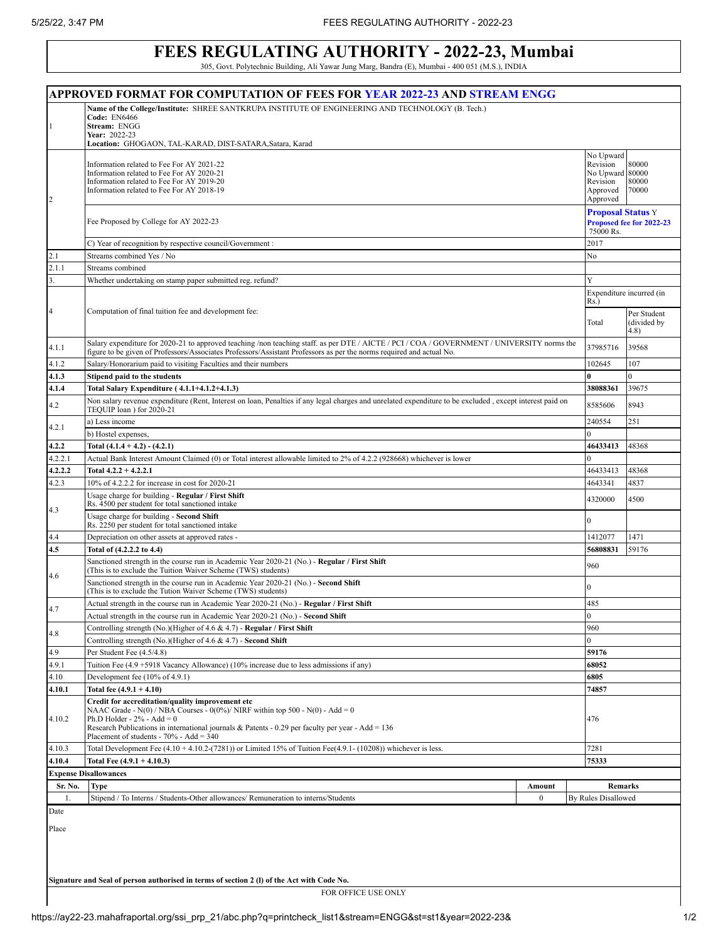## **FEES REGULATING AUTHORITY - 2022-23, Mumbai**

305, Govt. Polytechnic Building, Ali Yawar Jung Marg, Bandra (E), Mumbai - 400 051 (M.S.), INDIA

| APPROVED FORMAT FOR COMPUTATION OF FEES FOR YEAR 2022-23 AND STREAM ENGG |                                                                                                                                                               |                                       |                          |  |  |
|--------------------------------------------------------------------------|---------------------------------------------------------------------------------------------------------------------------------------------------------------|---------------------------------------|--------------------------|--|--|
|                                                                          | Name of the College/Institute: SHREE SANTKRUPA INSTITUTE OF ENGINEERING AND TECHNOLOGY (B. Tech.)                                                             |                                       |                          |  |  |
| $\mathbf{1}$                                                             | <b>Code: EN6466</b>                                                                                                                                           |                                       |                          |  |  |
|                                                                          | Stream: ENGG<br>Year: 2022-23                                                                                                                                 |                                       |                          |  |  |
|                                                                          | Location: GHOGAON, TAL-KARAD, DIST-SATARA, Satara, Karad                                                                                                      |                                       |                          |  |  |
|                                                                          |                                                                                                                                                               | No Upward                             |                          |  |  |
|                                                                          | Information related to Fee For AY 2021-22<br>Information related to Fee For AY 2020-21                                                                        | Revision<br>No Upward 80000           | 80000                    |  |  |
|                                                                          | Information related to Fee For AY 2019-20                                                                                                                     | Revision                              | 80000                    |  |  |
|                                                                          | Information related to Fee For AY 2018-19                                                                                                                     | Approved                              | 70000                    |  |  |
| 2                                                                        |                                                                                                                                                               | Approved                              |                          |  |  |
|                                                                          |                                                                                                                                                               | <b>Proposal Status Y</b>              |                          |  |  |
|                                                                          | Fee Proposed by College for AY 2022-23                                                                                                                        | Proposed fee for 2022-23<br>75000 Rs. |                          |  |  |
|                                                                          | C) Year of recognition by respective council/Government :                                                                                                     | 2017                                  |                          |  |  |
| 2.1                                                                      | Streams combined Yes / No                                                                                                                                     | No                                    |                          |  |  |
| 2.1.1                                                                    | Streams combined                                                                                                                                              |                                       |                          |  |  |
| 3.                                                                       | Whether undertaking on stamp paper submitted reg. refund?                                                                                                     | Y                                     |                          |  |  |
|                                                                          |                                                                                                                                                               |                                       | Expenditure incurred (in |  |  |
|                                                                          |                                                                                                                                                               | Rs.)                                  |                          |  |  |
| $\overline{4}$                                                           | Computation of final tuition fee and development fee:                                                                                                         |                                       | Per Student<br>Total     |  |  |
|                                                                          |                                                                                                                                                               |                                       | (divided by<br>4.8)      |  |  |
|                                                                          | Salary expenditure for 2020-21 to approved teaching /non teaching staff. as per DTE / AICTE / PCI / COA / GOVERNMENT / UNIVERSITY norms the                   |                                       |                          |  |  |
| 4.1.1                                                                    | figure to be given of Professors/Associates Professors/Assistant Professors as per the norms required and actual No.                                          | 37985716                              | 39568                    |  |  |
| 4.1.2                                                                    | Salary/Honorarium paid to visiting Faculties and their numbers                                                                                                | 102645                                | 107                      |  |  |
| 4.1.3                                                                    | Stipend paid to the students                                                                                                                                  |                                       | $\Omega$                 |  |  |
| 4.1.4                                                                    | Total Salary Expenditure (4.1.1+4.1.2+4.1.3)                                                                                                                  | 38088361                              | 39675                    |  |  |
| 4.2                                                                      | Non salary revenue expenditure (Rent, Interest on loan, Penalties if any legal charges and unrelated expenditure to be excluded, except interest paid on      | 8585606                               | 8943                     |  |  |
|                                                                          | TEQUIP loan) for 2020-21                                                                                                                                      |                                       |                          |  |  |
| 4.2.1                                                                    | a) Less income                                                                                                                                                | 240554                                | 251                      |  |  |
|                                                                          | b) Hostel expenses,                                                                                                                                           |                                       |                          |  |  |
| 4.2.2                                                                    | Total $(4.1.4 + 4.2) - (4.2.1)$                                                                                                                               | 46433413                              | 48368                    |  |  |
| 4.2.2.1                                                                  | Actual Bank Interest Amount Claimed (0) or Total interest allowable limited to 2% of 4.2.2 (928668) whichever is lower                                        | $\Omega$                              |                          |  |  |
| 4.2.2.2                                                                  | Total $4.2.2 + 4.2.2.1$                                                                                                                                       | 46433413                              | 48368                    |  |  |
| 4.2.3                                                                    | 10% of 4.2.2.2 for increase in cost for 2020-21                                                                                                               | 4643341                               | 4837                     |  |  |
| 4.3                                                                      | Usage charge for building - Regular / First Shift<br>4320000<br>Rs. 4500 per student for total sanctioned intake                                              |                                       | 4500                     |  |  |
|                                                                          | Usage charge for building - Second Shift<br>Rs. 2250 per student for total sanctioned intake                                                                  | $\overline{0}$                        |                          |  |  |
| 4.4                                                                      | Depreciation on other assets at approved rates -                                                                                                              | 1412077                               | 1471                     |  |  |
| 4.5                                                                      | Total of (4.2.2.2 to 4.4)                                                                                                                                     | 56808831                              | 59176                    |  |  |
| 4.6                                                                      | Sanctioned strength in the course run in Academic Year 2020-21 (No.) - Regular / First Shift<br>(This is to exclude the Tuition Waiver Scheme (TWS) students) |                                       | 960                      |  |  |
|                                                                          | Sanctioned strength in the course run in Academic Year 2020-21 (No.) - Second Shift<br>(This is to exclude the Tution Waiver Scheme (TWS) students)           |                                       | $\overline{0}$           |  |  |
| 4.7                                                                      | Actual strength in the course run in Academic Year 2020-21 (No.) - Regular / First Shift                                                                      | 485                                   |                          |  |  |
|                                                                          | Actual strength in the course run in Academic Year 2020-21 (No.) - Second Shift                                                                               |                                       | $\Omega$                 |  |  |
| 4.8                                                                      | Controlling strength (No.)(Higher of 4.6 & 4.7) - Regular / First Shift                                                                                       |                                       | 960                      |  |  |
|                                                                          | Controlling strength (No.)(Higher of 4.6 & 4.7) - Second Shift                                                                                                | $\overline{0}$                        |                          |  |  |
| 4.9                                                                      | Per Student Fee (4.5/4.8)                                                                                                                                     | 59176                                 |                          |  |  |
| 4.9.1                                                                    | Tuition Fee (4.9 +5918 Vacancy Allowance) (10% increase due to less admissions if any)                                                                        | 68052                                 |                          |  |  |
| 4.10                                                                     | Development fee $(10\% \text{ of } 4.9.1)$                                                                                                                    | 6805                                  |                          |  |  |
| 4.10.1                                                                   | Total fee $(4.9.1 + 4.10)$                                                                                                                                    | 74857                                 |                          |  |  |
|                                                                          | Credit for accreditation/quality improvement etc                                                                                                              |                                       |                          |  |  |
| 4.10.2                                                                   | NAAC Grade - N(0) / NBA Courses - 0(0%)/ NIRF within top 500 - N(0) - Add = 0<br>Ph.D Holder - $2\%$ - Add = 0                                                |                                       | 476                      |  |  |
|                                                                          | Research Publications in international journals & Patents - 0.29 per faculty per year - Add = $136$                                                           |                                       |                          |  |  |
|                                                                          | Placement of students - $70\%$ - Add = 340                                                                                                                    |                                       |                          |  |  |
| 4.10.3                                                                   | Total Development Fee $(4.10 + 4.10.2-(7281))$ or Limited 15% of Tuition Fee $(4.9.1 - (10208))$ whichever is less.                                           | 7281                                  |                          |  |  |
| 4.10.4                                                                   | Total Fee $(4.9.1 + 4.10.3)$                                                                                                                                  | 75333                                 |                          |  |  |
|                                                                          | <b>Expense Disallowances</b>                                                                                                                                  |                                       |                          |  |  |
| Sr. No.                                                                  | Type<br>Amount                                                                                                                                                | Remarks                               |                          |  |  |
| 1.                                                                       | Stipend / To Interns / Students-Other allowances/ Remuneration to interns/Students<br>$\boldsymbol{0}$                                                        | By Rules Disallowed                   |                          |  |  |
| Date                                                                     |                                                                                                                                                               |                                       |                          |  |  |
| Place                                                                    |                                                                                                                                                               |                                       |                          |  |  |
|                                                                          |                                                                                                                                                               |                                       |                          |  |  |
|                                                                          |                                                                                                                                                               |                                       |                          |  |  |

**Signature and Seal of person authorised in terms of section 2 (l) of the Act with Code No.**

FOR OFFICE USE ONLY